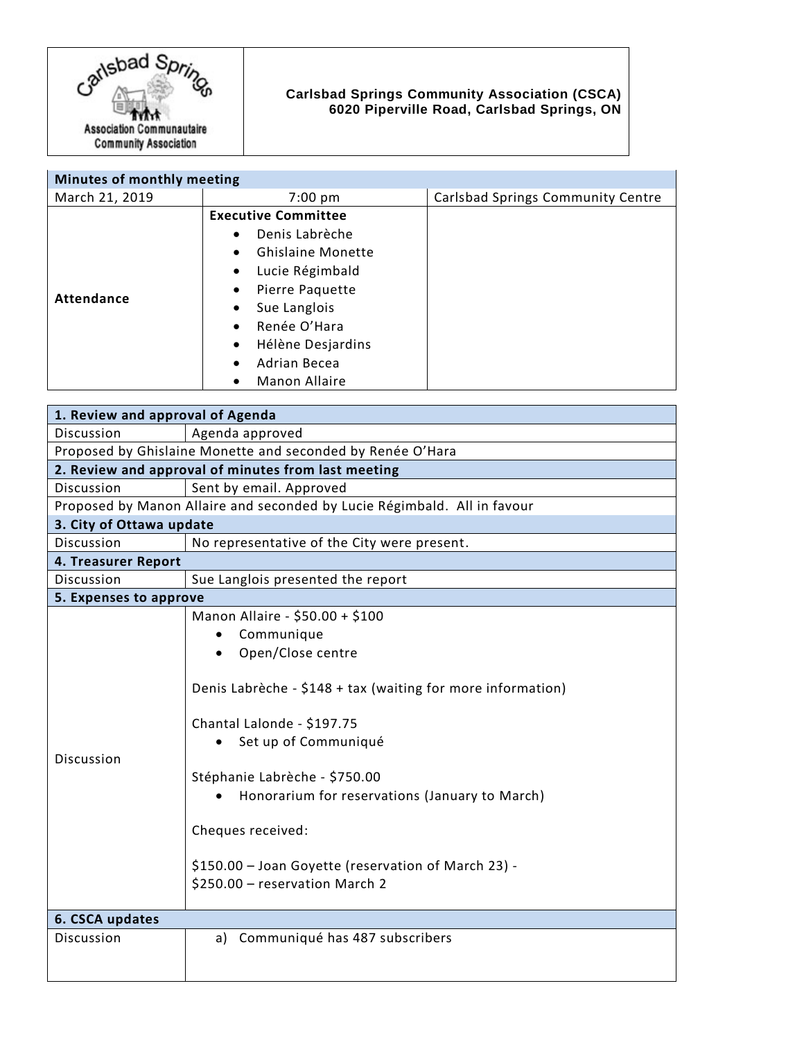

## **Carlsbad Springs Community Association (CSCA) 6020 Piperville Road, Carlsbad Springs, ON**

| Minutes of monthly meeting |                                       |                                   |
|----------------------------|---------------------------------------|-----------------------------------|
| March 21, 2019             | $7:00 \text{ pm}$                     | Carlsbad Springs Community Centre |
| Attendance                 | <b>Executive Committee</b>            |                                   |
|                            | Denis Labrèche<br>$\bullet$           |                                   |
|                            | <b>Ghislaine Monette</b><br>$\bullet$ |                                   |
|                            | Lucie Régimbald<br>$\bullet$          |                                   |
|                            | Pierre Paquette<br>$\bullet$          |                                   |
|                            | Sue Langlois<br>٠                     |                                   |
|                            | Renée O'Hara<br>$\bullet$             |                                   |
|                            | Hélène Desjardins<br>٠                |                                   |
|                            | Adrian Becea<br>$\bullet$             |                                   |
|                            | <b>Manon Allaire</b>                  |                                   |

| 1. Review and approval of Agenda                                         |                                                                                                                                                                                                                                                                                                                                                                                                       |  |
|--------------------------------------------------------------------------|-------------------------------------------------------------------------------------------------------------------------------------------------------------------------------------------------------------------------------------------------------------------------------------------------------------------------------------------------------------------------------------------------------|--|
| Discussion                                                               | Agenda approved                                                                                                                                                                                                                                                                                                                                                                                       |  |
| Proposed by Ghislaine Monette and seconded by Renée O'Hara               |                                                                                                                                                                                                                                                                                                                                                                                                       |  |
| 2. Review and approval of minutes from last meeting                      |                                                                                                                                                                                                                                                                                                                                                                                                       |  |
| <b>Discussion</b>                                                        | Sent by email. Approved                                                                                                                                                                                                                                                                                                                                                                               |  |
| Proposed by Manon Allaire and seconded by Lucie Régimbald. All in favour |                                                                                                                                                                                                                                                                                                                                                                                                       |  |
| 3. City of Ottawa update                                                 |                                                                                                                                                                                                                                                                                                                                                                                                       |  |
| Discussion                                                               | No representative of the City were present.                                                                                                                                                                                                                                                                                                                                                           |  |
| 4. Treasurer Report                                                      |                                                                                                                                                                                                                                                                                                                                                                                                       |  |
| <b>Discussion</b>                                                        | Sue Langlois presented the report                                                                                                                                                                                                                                                                                                                                                                     |  |
| 5. Expenses to approve                                                   |                                                                                                                                                                                                                                                                                                                                                                                                       |  |
| <b>Discussion</b>                                                        | Manon Allaire - \$50.00 + \$100<br>Communique<br>Open/Close centre<br>$\bullet$<br>Denis Labrèche - \$148 + tax (waiting for more information)<br>Chantal Lalonde - \$197.75<br>Set up of Communiqué<br>Stéphanie Labrèche - \$750.00<br>Honorarium for reservations (January to March)<br>Cheques received:<br>\$150.00 - Joan Goyette (reservation of March 23) -<br>\$250.00 - reservation March 2 |  |
| 6. CSCA updates                                                          |                                                                                                                                                                                                                                                                                                                                                                                                       |  |
| Discussion                                                               | Communiqué has 487 subscribers<br>a)                                                                                                                                                                                                                                                                                                                                                                  |  |